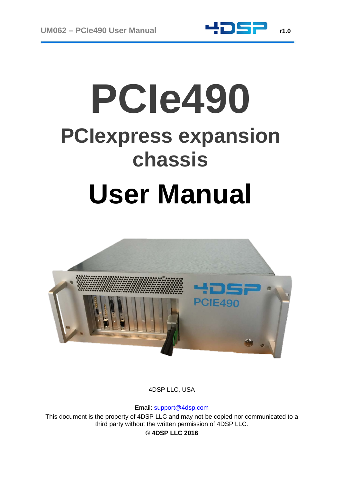



4DSP LLC, USA

Email: [support@4dsp.com](mailto:support@4dsp.com)

This document is the property of 4DSP LLC and may not be copied nor communicated to a third party without the written permission of 4DSP LLC.

**© 4DSP LLC 2016**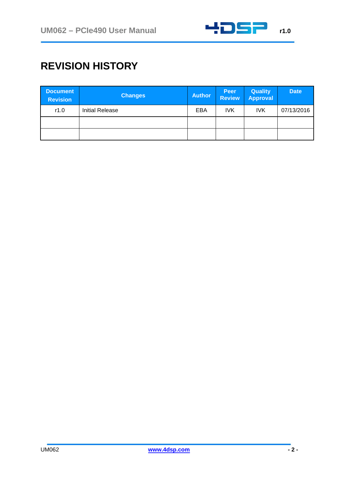

## **REVISION HISTORY**

| <b>Document</b><br><b>Revision</b> | <b>Changes</b>         | <b>Author</b> | <b>Peer</b><br><b>Review</b> | <b>Quality</b><br><b>Approval</b> | <b>Date</b> |
|------------------------------------|------------------------|---------------|------------------------------|-----------------------------------|-------------|
| r1.0                               | <b>Initial Release</b> | EBA           | <b>IVK</b>                   | <b>IVK</b>                        | 07/13/2016  |
|                                    |                        |               |                              |                                   |             |
|                                    |                        |               |                              |                                   |             |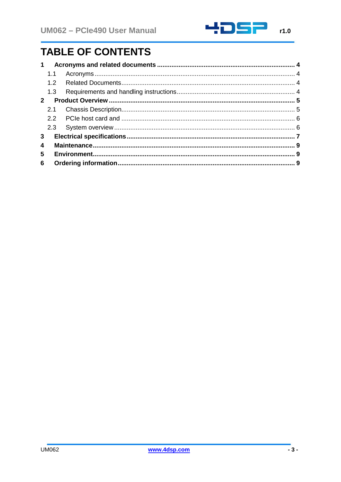

# **TABLE OF CONTENTS**

| 1            |                  |  |  |
|--------------|------------------|--|--|
|              | 1.1              |  |  |
|              | 1.2 <sub>2</sub> |  |  |
|              | 1.3              |  |  |
| $\mathbf{2}$ |                  |  |  |
|              | 2.1              |  |  |
|              |                  |  |  |
|              |                  |  |  |
| 3            |                  |  |  |
| 4            |                  |  |  |
| 5            |                  |  |  |
| 6            |                  |  |  |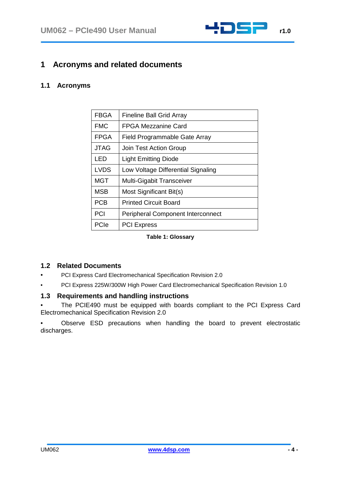

### <span id="page-3-0"></span>**1 Acronyms and related documents**

#### <span id="page-3-1"></span>**1.1 Acronyms**

| <b>FBGA</b> | <b>Fineline Ball Grid Array</b>          |  |
|-------------|------------------------------------------|--|
| <b>FMC</b>  | <b>FPGA Mezzanine Card</b>               |  |
| <b>FPGA</b> | Field Programmable Gate Array            |  |
| <b>JTAG</b> | Join Test Action Group                   |  |
| LED         | <b>Light Emitting Diode</b>              |  |
| <b>LVDS</b> | Low Voltage Differential Signaling       |  |
| <b>MGT</b>  | Multi-Gigabit Transceiver                |  |
| <b>MSB</b>  | Most Significant Bit(s)                  |  |
| <b>PCB</b>  | <b>Printed Circuit Board</b>             |  |
| <b>PCI</b>  | <b>Peripheral Component Interconnect</b> |  |
| PCIe        | <b>PCI Express</b>                       |  |

**Table 1: Glossary**

#### <span id="page-3-2"></span>**1.2 Related Documents**

- PCI Express Card Electromechanical Specification Revision 2.0
- PCI Express 225W/300W High Power Card Electromechanical Specification Revision 1.0

#### <span id="page-3-3"></span>**1.3 Requirements and handling instructions**

The PCIE490 must be equipped with boards compliant to the PCI Express Card Electromechanical Specification Revision 2.0

• Observe ESD precautions when handling the board to prevent electrostatic discharges.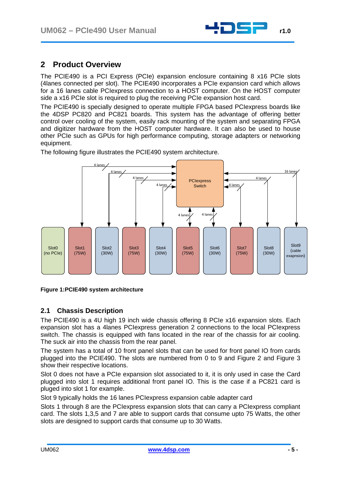

### <span id="page-4-0"></span>**2 Product Overview**

The PCIE490 is a PCI Express (PCIe) expansion enclosure containing 8 x16 PCIe slots (4lanes connected per slot). The PCIE490 incorporates a PCIe expansion card which allows for a 16 lanes cable PCIexpress connection to a HOST computer. On the HOST computer side a x16 PCIe slot is required to plug the receiving PCIe expansion host card.

The PCIE490 is specially designed to operate multiple FPGA based PCIexpress boards like the 4DSP PC820 and PC821 boards. This system has the advantage of offering better control over cooling of the system, easily rack mounting of the system and separating FPGA and digitizer hardware from the HOST computer hardware. It can also be used to house other PCIe such as GPUs for high performance computing, storage adapters or networking equipment.

The following figure illustrates the PCIE490 system architecture.





#### <span id="page-4-1"></span>**2.1 Chassis Description**

The PCIE490 is a 4U high 19 inch wide chassis offering 8 PCIe x16 expansion slots. Each expansion slot has a 4lanes PCIexpress generation 2 connections to the local PCIexpress switch. The chassis is equipped with fans located in the rear of the chassis for air cooling. The suck air into the chassis from the rear panel.

The system has a total of 10 front panel slots that can be used for front panel IO from cards plugged into the PCIE490. The slots are numbered from 0 to 9 and [Figure 2](#page-5-2) and [Figure 3](#page-5-3) show their respective locations.

Slot 0 does not have a PCIe expansion slot associated to it, it is only used in case the Card plugged into slot 1 requires additional front panel IO. This is the case if a PC821 card is pluged into slot 1 for example.

Slot 9 typically holds the 16 lanes PCIexpress expansion cable adapter card

Slots 1 through 8 are the PCIexpress expansion slots that can carry a PCIexpress compliant card. The slots 1,3,5 and 7 are able to support cards that consume upto 75 Watts, the other slots are designed to support cards that consume up to 30 Watts.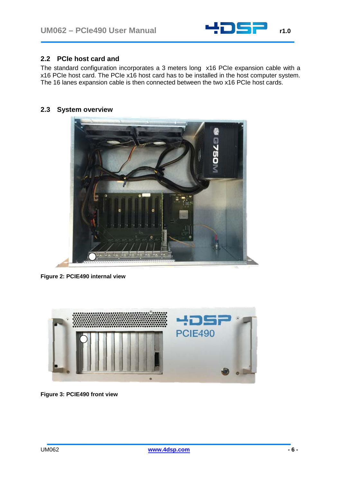

#### <span id="page-5-0"></span>**2.2 PCIe host card and**

The standard configuration incorporates a 3 meters long x16 PCIe expansion cable with a x16 PCIe host card. The PCIe x16 host card has to be installed in the host computer system. The 16 lanes expansion cable is then connected between the two x16 PCIe host cards.

#### <span id="page-5-1"></span>**2.3 System overview**



**Figure 2: PCIE490 internal view**

<span id="page-5-3"></span><span id="page-5-2"></span>

**Figure 3: PCIE490 front view**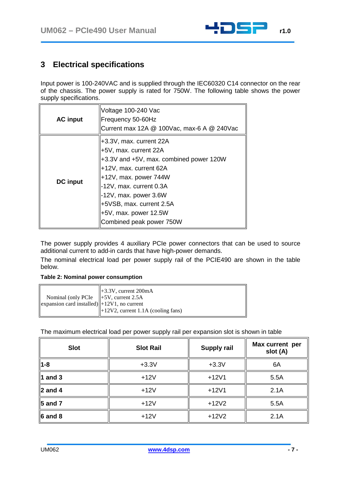

## <span id="page-6-0"></span>**3 Electrical specifications**

Input power is 100-240VAC and is supplied through the IEC60320 C14 connector on the rear of the chassis. The power supply is rated for 750W. The following table shows the power supply specifications.

| <b>AC</b> input | Voltage 100-240 Vac<br>Frequency 50-60Hz<br>Current max 12A @ 100Vac, max-6 A @ 240Vac                                                                                                                                                                                              |
|-----------------|-------------------------------------------------------------------------------------------------------------------------------------------------------------------------------------------------------------------------------------------------------------------------------------|
| <b>DC</b> input | +3.3V, max. current 22A<br>+5V, max. current 22A<br>+3.3V and +5V, max. combined power 120W<br>+12V, max. current 62A<br>+12V, max. power 744W<br>-12V, max. current 0.3A<br>-12V, max. power 3.6W<br>+5VSB, max. current 2.5A<br>+5V, max. power 12.5W<br>Combined peak power 750W |

The power supply provides 4 auxiliary PCIe power connectors that can be used to source additional current to add-in cards that have high-power demands.

The nominal electrical load per power supply rail of the PCIE490 are shown in the table below.

|                                                                           | $\parallel +3.3V$ , current 200mA              |
|---------------------------------------------------------------------------|------------------------------------------------|
| Nominal (only PCIe $\ $ +5V, current 2.5A                                 |                                                |
| $\left\ $ expansion card installed) $\left\  +12V1 \right\ $ , no current |                                                |
|                                                                           | $\parallel$ +12V2, current 1.1A (cooling fans) |

The maximum electrical load per power supply rail per expansion slot is shown in table

| <b>Slot</b>          | <b>Slot Rail</b> | <b>Supply rail</b> | Max current per<br>slot (A) |
|----------------------|------------------|--------------------|-----------------------------|
| 1-8                  | $+3.3V$          | $+3.3V$            | 6A                          |
| $\ $ 1 and 3         | $+12V$           | $+12V1$            | 5.5A                        |
| $\ $ 2 and 4         | $+12V$           | $+12V1$            | 2.1A                        |
| $\ $ 5 and 7         | $+12V$           | $+12V2$            | 5.5A                        |
| $\ 6 \text{ and } 8$ | $+12V$           | $+12V2$            | 2.1A                        |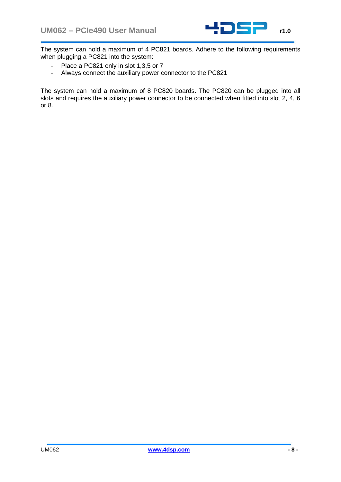

The system can hold a maximum of 4 PC821 boards. Adhere to the following requirements when plugging a PC821 into the system:

- Place a PC821 only in slot 1,3,5 or 7
- Always connect the auxiliary power connector to the PC821

The system can hold a maximum of 8 PC820 boards. The PC820 can be plugged into all slots and requires the auxiliary power connector to be connected when fitted into slot 2, 4, 6 or 8.